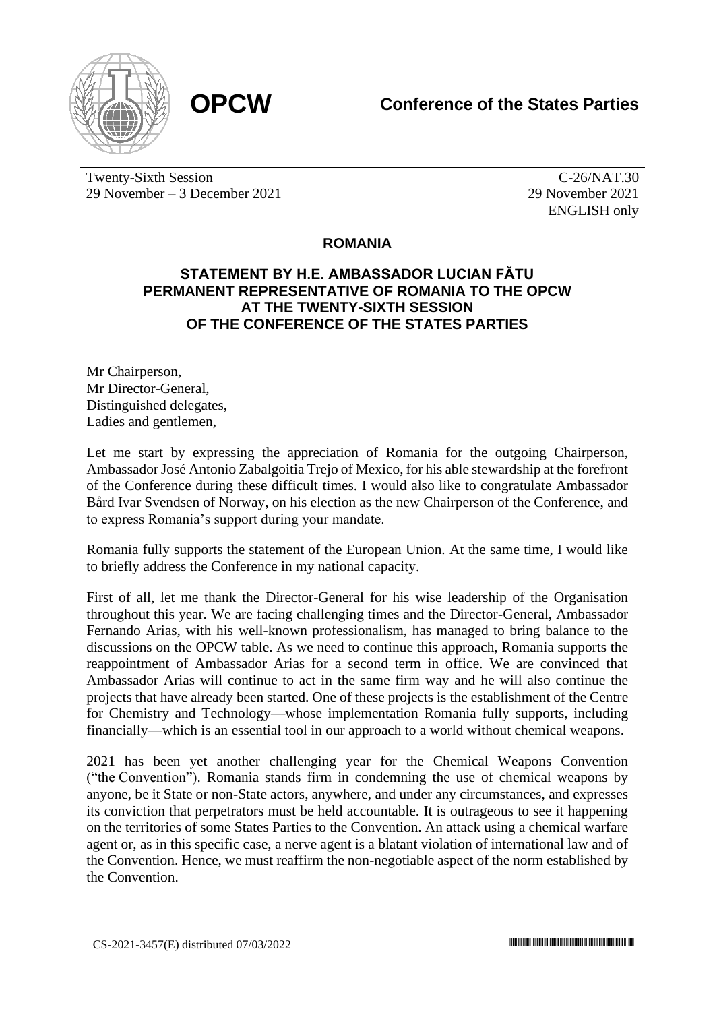

Twenty-Sixth Session 29 November – 3 December 2021

C-26/NAT.30 29 November 2021 ENGLISH only

## **ROMANIA**

## **STATEMENT BY H.E. AMBASSADOR LUCIAN FĂTU PERMANENT REPRESENTATIVE OF ROMANIA TO THE OPCW AT THE TWENTY-SIXTH SESSION OF THE CONFERENCE OF THE STATES PARTIES**

Mr Chairperson, Mr Director-General, Distinguished delegates, Ladies and gentlemen,

Let me start by expressing the appreciation of Romania for the outgoing Chairperson, Ambassador José Antonio Zabalgoitia Trejo of Mexico, for his able stewardship at the forefront of the Conference during these difficult times. I would also like to congratulate Ambassador Bård Ivar Svendsen of Norway, on his election as the new Chairperson of the Conference, and to express Romania's support during your mandate.

Romania fully supports the statement of the European Union. At the same time, I would like to briefly address the Conference in my national capacity.

First of all, let me thank the Director-General for his wise leadership of the Organisation throughout this year. We are facing challenging times and the Director-General, Ambassador Fernando Arias, with his well-known professionalism, has managed to bring balance to the discussions on the OPCW table. As we need to continue this approach, Romania supports the reappointment of Ambassador Arias for a second term in office. We are convinced that Ambassador Arias will continue to act in the same firm way and he will also continue the projects that have already been started. One of these projects is the establishment of the Centre for Chemistry and Technology—whose implementation Romania fully supports, including financially—which is an essential tool in our approach to a world without chemical weapons.

2021 has been yet another challenging year for the Chemical Weapons Convention ("the Convention"). Romania stands firm in condemning the use of chemical weapons by anyone, be it State or non-State actors, anywhere, and under any circumstances, and expresses its conviction that perpetrators must be held accountable. It is outrageous to see it happening on the territories of some States Parties to the Convention. An attack using a chemical warfare agent or, as in this specific case, a nerve agent is a blatant violation of international law and of the Convention. Hence, we must reaffirm the non-negotiable aspect of the norm established by the Convention.